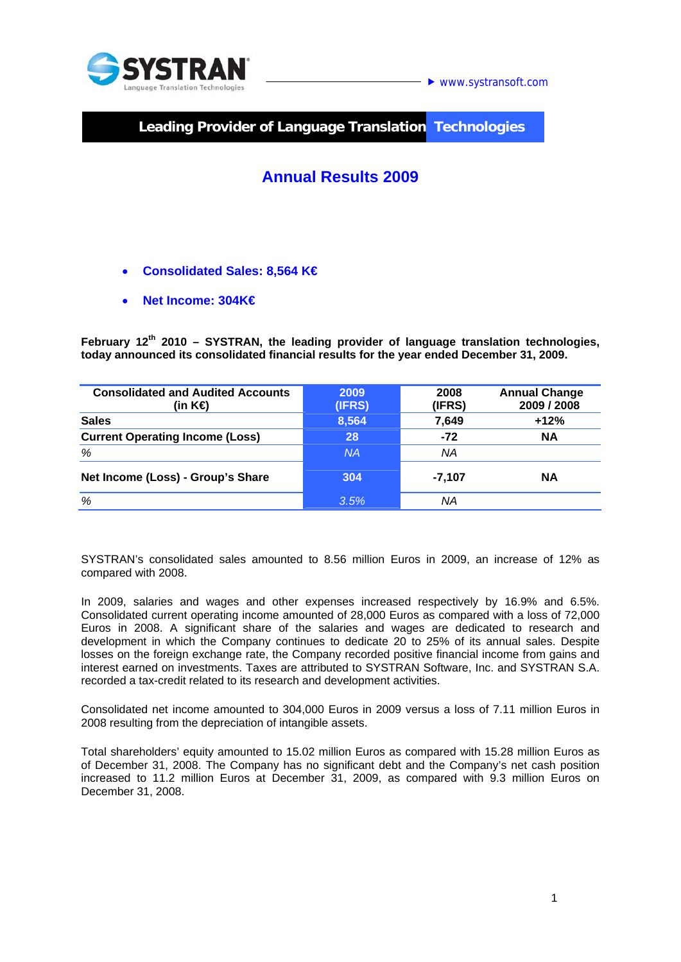

**Leading Provider of Language Translation Technologies** 

## **Annual Results 2009**

- **Consolidated Sales: 8,564 K€**
- **Net Income: 304K€**

**February 12th 2010 – SYSTRAN, the leading provider of language translation technologies, today announced its consolidated financial results for the year ended December 31, 2009.** 

| <b>Consolidated and Audited Accounts</b><br>(in K⊖ | 2009<br>(IFRS) | 2008<br>(IFRS) | <b>Annual Change</b><br>2009 / 2008 |
|----------------------------------------------------|----------------|----------------|-------------------------------------|
| <b>Sales</b>                                       | 8,564          | 7,649          | $+12%$                              |
| <b>Current Operating Income (Loss)</b>             | 28             | $-72$          | <b>NA</b>                           |
| %                                                  | <b>NA</b>      | NA             |                                     |
| Net Income (Loss) - Group's Share                  | 304            | -7.107         | ΝA                                  |
| %                                                  | 3.5%           | ΝA             |                                     |

SYSTRAN's consolidated sales amounted to 8.56 million Euros in 2009, an increase of 12% as compared with 2008.

In 2009, salaries and wages and other expenses increased respectively by 16.9% and 6.5%. Consolidated current operating income amounted of 28,000 Euros as compared with a loss of 72,000 Euros in 2008. A significant share of the salaries and wages are dedicated to research and development in which the Company continues to dedicate 20 to 25% of its annual sales. Despite losses on the foreign exchange rate, the Company recorded positive financial income from gains and interest earned on investments. Taxes are attributed to SYSTRAN Software, Inc. and SYSTRAN S.A. recorded a tax-credit related to its research and development activities.

Consolidated net income amounted to 304,000 Euros in 2009 versus a loss of 7.11 million Euros in 2008 resulting from the depreciation of intangible assets.

Total shareholders' equity amounted to 15.02 million Euros as compared with 15.28 million Euros as of December 31, 2008. The Company has no significant debt and the Company's net cash position increased to 11.2 million Euros at December 31, 2009, as compared with 9.3 million Euros on December 31, 2008.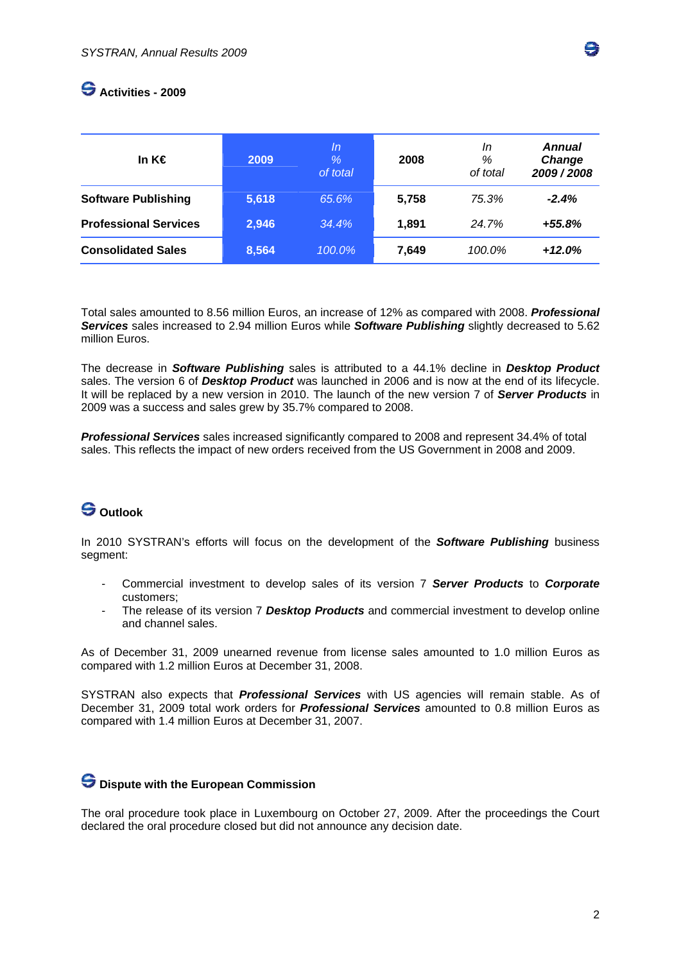

### **Activities - 2009**

| In K $\epsilon$              | 2009  | In<br>$\%$<br>of total | 2008  | In<br>%<br>of total | <b>Annual</b><br>Change<br>2009/2008 |
|------------------------------|-------|------------------------|-------|---------------------|--------------------------------------|
| <b>Software Publishing</b>   | 5,618 | 65.6%                  | 5,758 | 75.3%               | $-2.4%$                              |
| <b>Professional Services</b> | 2,946 | $34.4\%$               | 1.891 | 24.7%               | $+55.8%$                             |
| <b>Consolidated Sales</b>    | 8,564 | 100.0%                 | 7,649 | 100.0%              | $+12.0%$                             |

Total sales amounted to 8.56 million Euros, an increase of 12% as compared with 2008. *Professional Services* sales increased to 2.94 million Euros while *Software Publishing* slightly decreased to 5.62 million Euros.

The decrease in *Software Publishing* sales is attributed to a 44.1% decline in *Desktop Product*  sales. The version 6 of *Desktop Product* was launched in 2006 and is now at the end of its lifecycle. It will be replaced by a new version in 2010. The launch of the new version 7 of *Server Products* in 2009 was a success and sales grew by 35.7% compared to 2008.

*Professional Services* sales increased significantly compared to 2008 and represent 34.4% of total sales. This reflects the impact of new orders received from the US Government in 2008 and 2009.

# **Outlook**

In 2010 SYSTRAN's efforts will focus on the development of the *Software Publishing* business segment:

- Commercial investment to develop sales of its version 7 *Server Products* to *Corporate* customers;
- The release of its version 7 *Desktop Products* and commercial investment to develop online and channel sales.

As of December 31, 2009 unearned revenue from license sales amounted to 1.0 million Euros as compared with 1.2 million Euros at December 31, 2008.

SYSTRAN also expects that *Professional Services* with US agencies will remain stable. As of December 31, 2009 total work orders for *Professional Services* amounted to 0.8 million Euros as compared with 1.4 million Euros at December 31, 2007.

### $\bigodot$  Dispute with the European Commission

The oral procedure took place in Luxembourg on October 27, 2009. After the proceedings the Court declared the oral procedure closed but did not announce any decision date.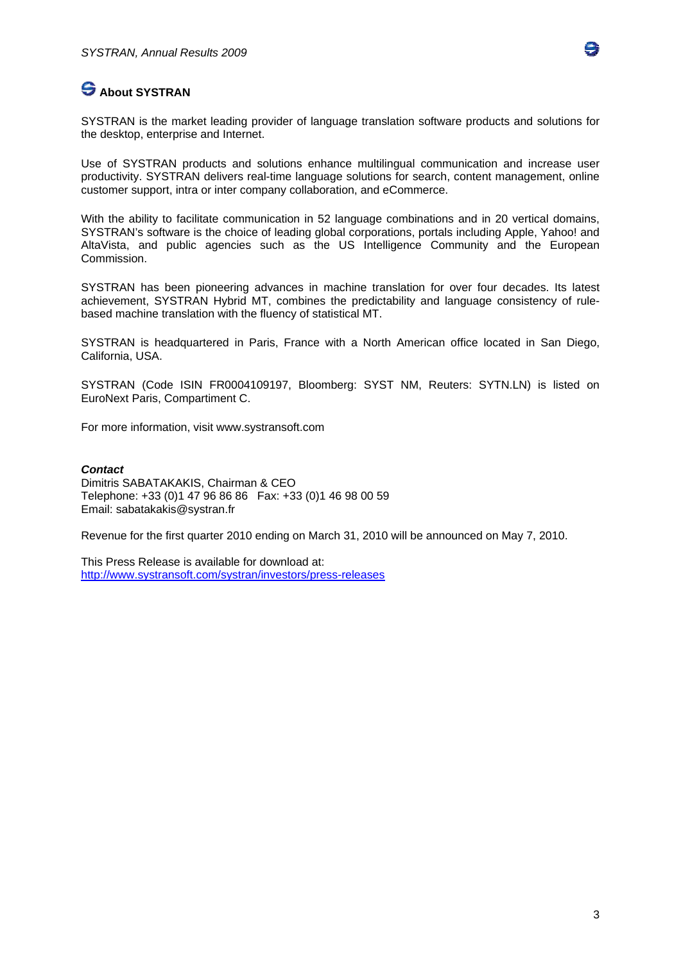

## **S** About SYSTRAN

SYSTRAN is the market leading provider of language translation software products and solutions for the desktop, enterprise and Internet.

Use of SYSTRAN products and solutions enhance multilingual communication and increase user productivity. SYSTRAN delivers real-time language solutions for search, content management, online customer support, intra or inter company collaboration, and eCommerce.

With the ability to facilitate communication in 52 language combinations and in 20 vertical domains, SYSTRAN's software is the choice of leading global corporations, portals including Apple, Yahoo! and AltaVista, and public agencies such as the US Intelligence Community and the European Commission.

SYSTRAN has been pioneering advances in machine translation for over four decades. Its latest achievement, SYSTRAN Hybrid MT, combines the predictability and language consistency of rulebased machine translation with the fluency of statistical MT.

SYSTRAN is headquartered in Paris, France with a North American office located in San Diego, California, USA.

SYSTRAN (Code ISIN FR0004109197, Bloomberg: SYST NM, Reuters: SYTN.LN) is listed on EuroNext Paris, Compartiment C.

For more information, visit www.systransoft.com

#### *Contact*

Dimitris SABATAKAKIS, Chairman & CEO Telephone: +33 (0)1 47 96 86 86 Fax: +33 (0)1 46 98 00 59 Email: sabatakakis@systran.fr

Revenue for the first quarter 2010 ending on March 31, 2010 will be announced on May 7, 2010.

This Press Release is available for download at: http://www.systransoft.com/systran/investors/press-releases